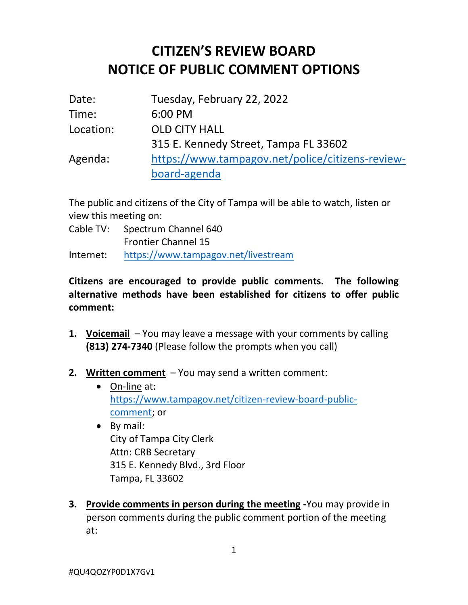## **CITIZEN'S REVIEW BOARD NOTICE OF PUBLIC COMMENT OPTIONS**

| Date:     | Tuesday, February 22, 2022                       |
|-----------|--------------------------------------------------|
| Time:     | 6:00 PM                                          |
| Location: | <b>OLD CITY HALL</b>                             |
|           | 315 E. Kennedy Street, Tampa FL 33602            |
| Agenda:   | https://www.tampagov.net/police/citizens-review- |
|           | board-agenda                                     |

The public and citizens of the City of Tampa will be able to watch, listen or view this meeting on:

Cable TV: Spectrum Channel 640 Frontier Channel 15

Internet: <https://www.tampagov.net/livestream>

## **Citizens are encouraged to provide public comments. The following alternative methods have been established for citizens to offer public comment:**

- **1. Voicemail** You may leave a message with your comments by calling **(813) 274-7340** (Please follow the prompts when you call)
- **2. Written comment** You may send a written comment:
	- On-line at: [https://www.tampagov.net/citizen-review-board-public](https://www.tampagov.net/citizen-review-board-public-comment)[comment;](https://www.tampagov.net/citizen-review-board-public-comment) or
	- By mail: City of Tampa City Clerk Attn: CRB Secretary 315 E. Kennedy Blvd., 3rd Floor Tampa, FL 33602
- **3. Provide comments in person during the meeting -**You may provide in person comments during the public comment portion of the meeting at: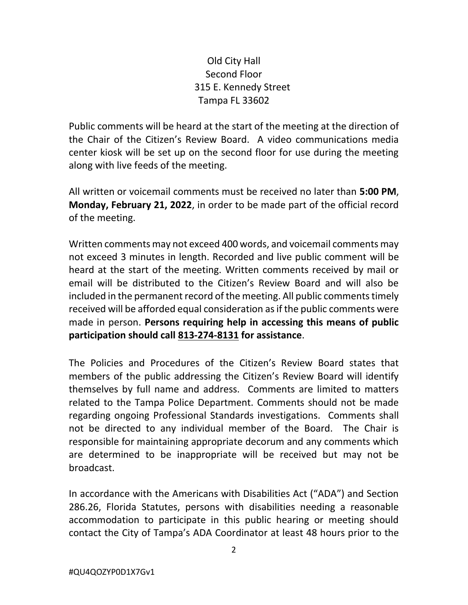## Old City Hall Second Floor 315 E. Kennedy Street Tampa FL 33602

Public comments will be heard at the start of the meeting at the direction of the Chair of the Citizen's Review Board. A video communications media center kiosk will be set up on the second floor for use during the meeting along with live feeds of the meeting.

All written or voicemail comments must be received no later than **5:00 PM**, **Monday, February 21, 2022**, in order to be made part of the official record of the meeting.

Written comments may not exceed 400 words, and voicemail comments may not exceed 3 minutes in length. Recorded and live public comment will be heard at the start of the meeting. Written comments received by mail or email will be distributed to the Citizen's Review Board and will also be included in the permanent record of the meeting. All public comments timely received will be afforded equal consideration as if the public comments were made in person. **Persons requiring help in accessing this means of public participation should call 813-274-8131 for assistance**.

The Policies and Procedures of the Citizen's Review Board states that members of the public addressing the Citizen's Review Board will identify themselves by full name and address. Comments are limited to matters related to the Tampa Police Department. Comments should not be made regarding ongoing Professional Standards investigations. Comments shall not be directed to any individual member of the Board. The Chair is responsible for maintaining appropriate decorum and any comments which are determined to be inappropriate will be received but may not be broadcast.

In accordance with the Americans with Disabilities Act ("ADA") and Section 286.26, Florida Statutes, persons with disabilities needing a reasonable accommodation to participate in this public hearing or meeting should contact the City of Tampa's ADA Coordinator at least 48 hours prior to the